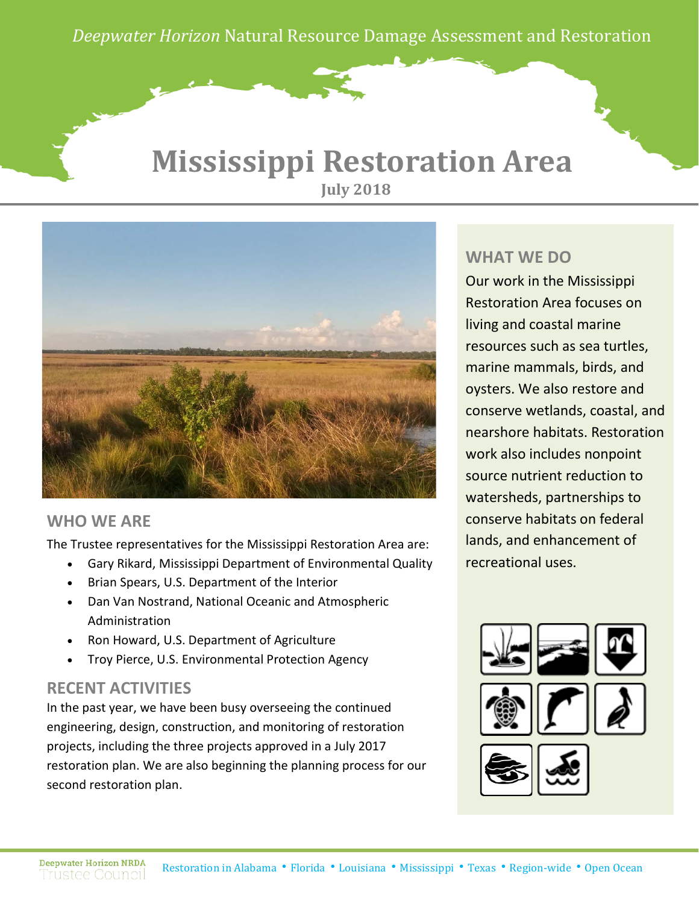*Deepwater Horizon* Natural Resource Damage Assessment and Restoration

### **Mississippi Restoration Area July 2018**



### **WHO WE ARE**

The Trustee representatives for the Mississippi Restoration Area are:

- Gary Rikard, Mississippi Department of Environmental Quality
- Brian Spears, U.S. Department of the Interior
- Dan Van Nostrand, National Oceanic and Atmospheric Administration
- Ron Howard, U.S. Department of Agriculture
- Troy Pierce, U.S. Environmental Protection Agency

### **RECENT ACTIVITIES**

In the past year, we have been busy overseeing the continued engineering, design, construction, and monitoring of restoration projects, including the three projects approved in a July 2017 restoration plan. We are also beginning the planning process for our second restoration plan.

#### **WHAT WE DO**

Our work in the Mississippi Restoration Area focuses on living and coastal marine resources such as sea turtles, marine mammals, birds, and oysters. We also restore and conserve wetlands, coastal, and nearshore habitats. Restoration work also includes nonpoint source nutrient reduction to watersheds, partnerships to conserve habitats on federal lands, and enhancement of recreational uses.



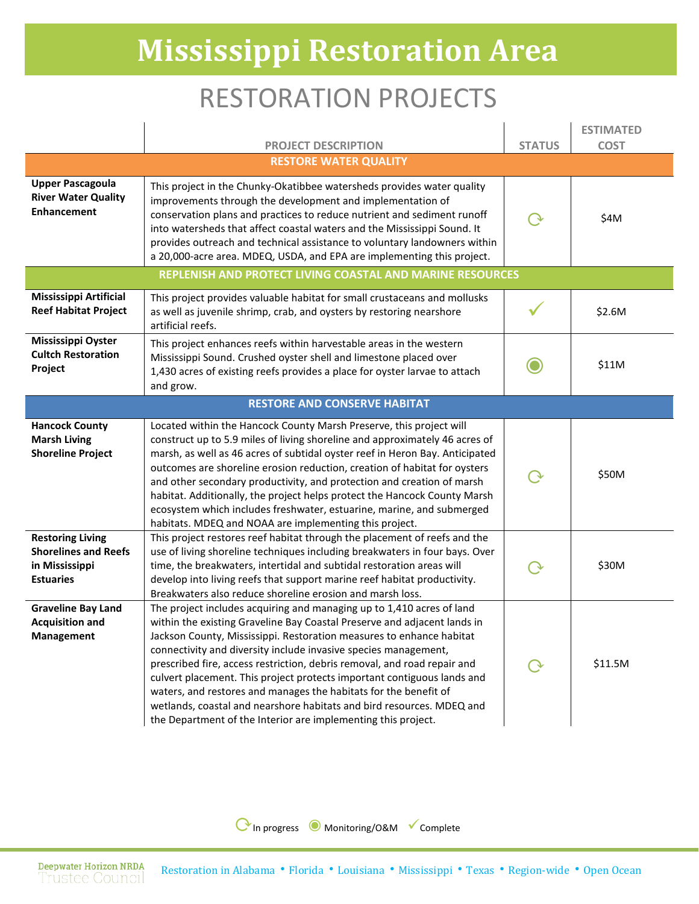# **Mississippi Restoration Area**

## RESTORATION PROJECTS

|                                                                                              | <b>PROJECT DESCRIPTION</b>                                                                                                                                                                                                                                                                                                                                                                                                                                                                                                                                                                                                                                        | <b>STATUS</b> | <b>ESTIMATED</b><br><b>COST</b> |  |
|----------------------------------------------------------------------------------------------|-------------------------------------------------------------------------------------------------------------------------------------------------------------------------------------------------------------------------------------------------------------------------------------------------------------------------------------------------------------------------------------------------------------------------------------------------------------------------------------------------------------------------------------------------------------------------------------------------------------------------------------------------------------------|---------------|---------------------------------|--|
| <b>RESTORE WATER QUALITY</b>                                                                 |                                                                                                                                                                                                                                                                                                                                                                                                                                                                                                                                                                                                                                                                   |               |                                 |  |
| <b>Upper Pascagoula</b><br><b>River Water Quality</b><br><b>Enhancement</b>                  | This project in the Chunky-Okatibbee watersheds provides water quality<br>improvements through the development and implementation of<br>conservation plans and practices to reduce nutrient and sediment runoff<br>into watersheds that affect coastal waters and the Mississippi Sound. It<br>provides outreach and technical assistance to voluntary landowners within<br>a 20,000-acre area. MDEQ, USDA, and EPA are implementing this project.                                                                                                                                                                                                                |               | \$4M                            |  |
|                                                                                              | REPLENISH AND PROTECT LIVING COASTAL AND MARINE RESOURCES                                                                                                                                                                                                                                                                                                                                                                                                                                                                                                                                                                                                         |               |                                 |  |
| <b>Mississippi Artificial</b><br><b>Reef Habitat Project</b>                                 | This project provides valuable habitat for small crustaceans and mollusks<br>as well as juvenile shrimp, crab, and oysters by restoring nearshore<br>artificial reefs.                                                                                                                                                                                                                                                                                                                                                                                                                                                                                            |               | \$2.6M                          |  |
| Mississippi Oyster<br><b>Cultch Restoration</b><br>Project                                   | This project enhances reefs within harvestable areas in the western<br>Mississippi Sound. Crushed oyster shell and limestone placed over<br>1,430 acres of existing reefs provides a place for oyster larvae to attach<br>and grow.                                                                                                                                                                                                                                                                                                                                                                                                                               | ∩             | \$11M                           |  |
|                                                                                              | <b>RESTORE AND CONSERVE HABITAT</b>                                                                                                                                                                                                                                                                                                                                                                                                                                                                                                                                                                                                                               |               |                                 |  |
| <b>Hancock County</b><br><b>Marsh Living</b><br><b>Shoreline Project</b>                     | Located within the Hancock County Marsh Preserve, this project will<br>construct up to 5.9 miles of living shoreline and approximately 46 acres of<br>marsh, as well as 46 acres of subtidal oyster reef in Heron Bay. Anticipated<br>outcomes are shoreline erosion reduction, creation of habitat for oysters<br>and other secondary productivity, and protection and creation of marsh<br>habitat. Additionally, the project helps protect the Hancock County Marsh<br>ecosystem which includes freshwater, estuarine, marine, and submerged<br>habitats. MDEQ and NOAA are implementing this project.                                                         | $\Delta$      | \$50M                           |  |
| <b>Restoring Living</b><br><b>Shorelines and Reefs</b><br>in Mississippi<br><b>Estuaries</b> | This project restores reef habitat through the placement of reefs and the<br>use of living shoreline techniques including breakwaters in four bays. Over<br>time, the breakwaters, intertidal and subtidal restoration areas will<br>develop into living reefs that support marine reef habitat productivity.<br>Breakwaters also reduce shoreline erosion and marsh loss.                                                                                                                                                                                                                                                                                        |               | \$30M                           |  |
| <b>Graveline Bay Land</b><br><b>Acquisition and</b><br><b>Management</b>                     | The project includes acquiring and managing up to 1,410 acres of land<br>within the existing Graveline Bay Coastal Preserve and adjacent lands in<br>Jackson County, Mississippi. Restoration measures to enhance habitat<br>connectivity and diversity include invasive species management,<br>prescribed fire, access restriction, debris removal, and road repair and<br>culvert placement. This project protects important contiguous lands and<br>waters, and restores and manages the habitats for the benefit of<br>wetlands, coastal and nearshore habitats and bird resources. MDEQ and<br>the Department of the Interior are implementing this project. |               | \$11.5M                         |  |

⟳In progress ◉ Monitoring/O&M Complete